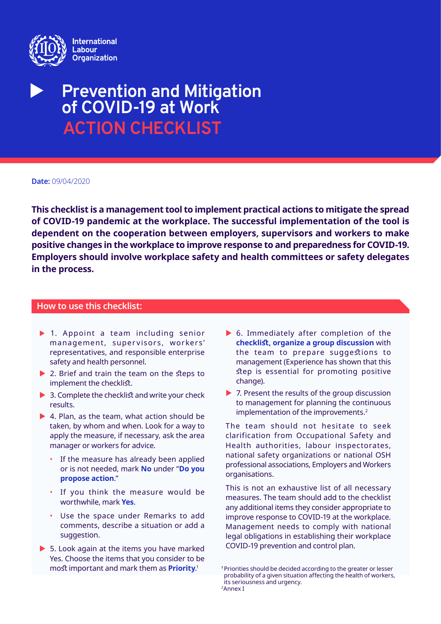

# **Prevention and Mitigation of COVID-19 at Work ACTION CHECKLIST**

#### **Date:** 09/04/2020

**This checklist is a management tool to implement practical actions to mitigate the spread of COVID-19 pandemic at the workplace. The successful implementation of the tool is dependent on the cooperation between employers, supervisors and workers to make positive changes in the workplace to improve response to and preparedness for COVID-19. Employers should involve workplace safety and health committees or safety delegates in the process.**

### **How to use this checklist:**

- $\blacktriangleright$  1. Appoint a team including senior management, supervisors, workers' representatives, and responsible enterprise safety and health personnel.
- $\triangleright$  2. Brief and train the team on the steps to implement the checklist.
- $\triangleright$  3. Complete the checklist and write your check results.
- $\blacktriangleright$  4. Plan, as the team, what action should be taken, by whom and when. Look for a way to apply the measure, if necessary, ask the area manager or workers for advice.
	- If the measure has already been applied or is not needed, mark **No** under "**Do you propose action**."
	- If you think the measure would be worthwhile, mark **Yes**.
	- Use the space under Remarks to add comments, describe a situation or add a suggestion.
- $\triangleright$  5. Look again at the items you have marked Yes. Choose the items that you consider to be most important and mark them as **Priority**. 1
- $\triangleright$  6. Immediately after completion of the **checklist, organize a group discussion** with the team to prepare suggestions to management (Experience has shown that this step is essential for promoting positive change).
- $\triangleright$  7. Present the results of the group discussion to management for planning the continuous implementation of the improvements.<sup>2</sup>

The team should not hesitate to seek clarification from Occupational Safety and Health authorities, labour inspectorates, national safety organizations or national OSH professional associations, Employers and Workers organisations.

This is not an exhaustive list of all necessary measures. The team should add to the checklist any additional items they consider appropriate to improve response to COVID-19 at the workplace. Management needs to comply with national legal obligations in establishing their workplace COVID-19 prevention and control plan.

**<sup>1</sup>**Priorities should be decided according to the greater or lesser probability of a given situation affecting the health of workers, its seriousness and urgency.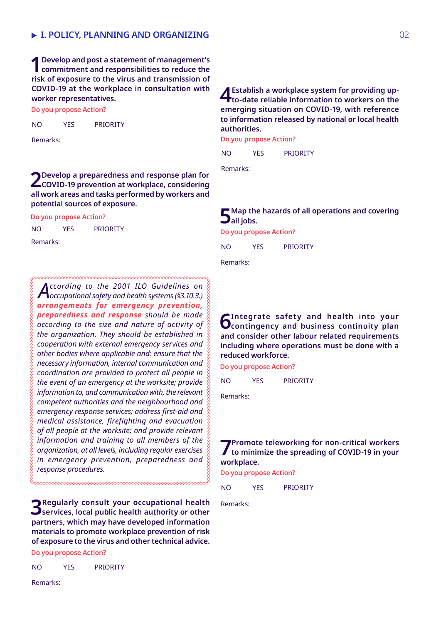**1Develop and post a statement of management's commitment and responsibilities to reduce the risk of exposure to the virus and transmission of COVID-19 at the workplace in consultation with worker representatives.**

**Do you propose Action?**

YES PRIORITY NO

Remarks:

**2Develop a preparedness and response plan for COVID-19 prevention at workplace, considering all work areas and tasks performed by workers and potential sources of exposure.**

**Do you propose Action?**

YES PRIORITY NO

Remarks:

*According to the 2001 ILO Guidelines on occupational safety and health systems (§3.10.3.) arrangements for emergency prevention, preparedness and response should be made according to the size and nature of activity of the organization. They should be established in cooperation with external emergency services and other bodies where applicable and: ensure that the necessary information, internal communication and coordination are provided to protect all people in the event of an emergency at the worksite; provide information to, and communication with, the relevant competent authorities and the neighbourhood and emergency response services; address first-aid and medical assistance, firefighting and evacuation of all people at the worksite; and provide relevant information and training to all members of the organization, at all levels, including regular exercises in emergency prevention, preparedness and response procedures.*

**3Regularly consult your occupational health services, local public health authority or other partners, which may have developed information materials to promote workplace prevention of risk of exposure to the virus and other technical advice.** 

**Do you propose Action?**

YES PRIORITY NO

**4Establish a workplace system for providing up-to-date reliable information to workers on the emerging situation on COVID-19, with reference to information released by national or local health authorities.** 

**Do you propose Action?**

YES PRIORITY  $N<sub>O</sub>$ 

Remarks:

### **5Map the hazards of all operations and covering all jobs.**

**Do you propose Action?**

YES PRIORITY NO

Remarks:

**6 Integrate safety and health into your contingency and business continuity plan and consider other labour related requirements including where operations must be done with a reduced workforce.**

**Do you propose Action?**

YES PRIORITY NO

Remarks:

**7 Promote teleworking for non-critical workers to minimize the spreading of COVID-19 in your workplace.** 

**Do you propose Action?**

YES PRIORITY  $N<sub>O</sub>$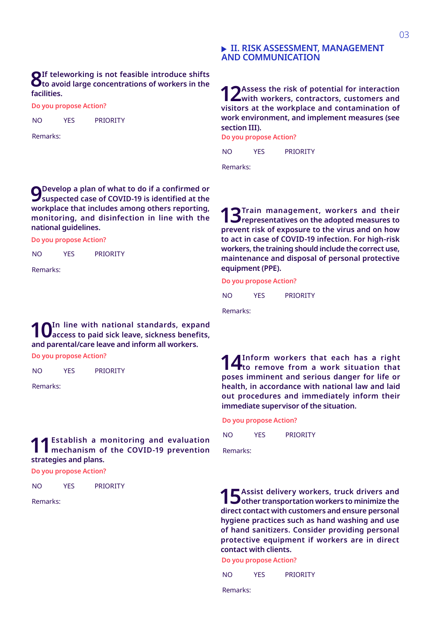### **II. RISK ASSESSMENT, MANAGEMENT AND COMMUNICATION**

**12 Assess the risk of potential for interaction with workers, contractors, customers and visitors at the workplace and contamination of work environment, and implement measures (see section III).** 

**Do you propose Action?**

YES PRIORITY  $N<sub>O</sub>$ 

Remarks:

**Do you propose Action? 9 Develop a plan of what to do if a confirmed or Suspected case of COVID-19 is identified at the workplace that includes among others reporting, monitoring, and disinfection in line with the national guidelines.**

YES PRIORITY NO

YES PRIORITY

**8If teleworking is not feasible introduce shifts to avoid large concentrations of workers in the** 

**Do you propose Action?**

Remarks:

Remarks:

**facilities.**

NO

**13 Train management, workers and their representatives on the adopted measures to prevent risk of exposure to the virus and on how to act in case of COVID-19 infection. For high-risk workers, the training should include the correct use, maintenance and disposal of personal protective equipment (PPE).** 

**Do you propose Action?**

YES PRIORITY NO

Remarks:

**10** In line with national standards, expand  $\alpha$  access to paid sick leave, sickness benefits, **and parental/care leave and inform all workers.** 

**Do you propose Action?**

YES PRIORITY NO

Remarks:

### **11 Establish a monitoring and evaluation mechanism of the COVID-19 prevention strategies and plans.**

**Do you propose Action?**

YES PRIORITY NO

Remarks:

**14** Inform workers that each has a right **14** to remove from a work situation that **poses imminent and serious danger for life or health, in accordance with national law and laid out procedures and immediately inform their immediate supervisor of the situation.** 

**Do you propose Action?**

YES PRIORITY NO

Remarks:

**15** Assist delivery workers, truck drivers and **b** other transportation workers to minimize the **direct contact with customers and ensure personal hygiene practices such as hand washing and use of hand sanitizers. Consider providing personal protective equipment if workers are in direct contact with clients.**

**Do you propose Action?**

YES PRIORITY  $N<sub>O</sub>$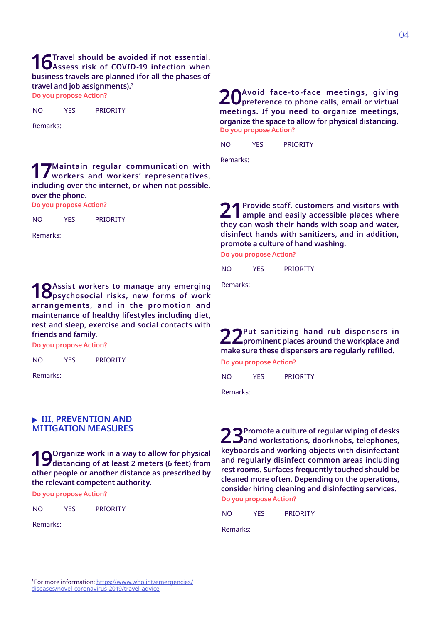### **16** Travel should be avoided if not essential.<br> **Assess risk of COVID-19 infection when business travels are planned (for all the phases of travel and job assignments).3**

**Do you propose Action?**

YES PRIORITY NO

Remarks:

**17 Maintain regular communication with workers and workers' representatives, including over the internet, or when not possible, over the phone.**

**Do you propose Action?**

YES PRIORITY NO

Remarks:

**18** Assist workers to manage any emerging **produce**  $\mathbf{B}$  assist work risks, new forms of work **arrangements, and in the promotion and maintenance of healthy lifestyles including diet, rest and sleep, exercise and social contacts with friends and family.** 

**Do you propose Action?**

YES PRIORITY NO

Remarks:

#### **EXAMPLE III. PREVENTION AND MITIGATION MEASURES**

**19** Organize work in a way to allow for physical distancing of at least 2 meters (6 feet) from **other people or another distance as prescribed by the relevant competent authority.**

**Do you propose Action?**

YES PRIORITY  $N<sub>O</sub>$ 

Remarks:

**Do you propose Action? 20 Avoid face-to-face meetings, giving preference to phone calls, email or virtual meetings. If you need to organize meetings, organize the space to allow for physical distancing.**

YES PRIORITY NO

Remarks:

21 Provide staff, customers and visitors with ample and easily accessible places where **they can wash their hands with soap and water, disinfect hands with sanitizers, and in addition, promote a culture of hand washing.** 

**Do you propose Action?**

YES PRIORITY NO

Remarks:

**22 Put sanitizing hand rub dispensers in**<br> **prominent places around the workplace and make sure these dispensers are regularly refilled.**

**Do you propose Action?**

YES PRIORITY NO

Remarks:

**Do you propose Action? 23 Promote a culture of regular wiping of desks and workstations, doorknobs, telephones, keyboards and working objects with disinfectant and regularly disinfect common areas including rest rooms. Surfaces frequently touched should be cleaned more often. Depending on the operations, consider hiring cleaning and disinfecting services.** 

YES PRIORITY NO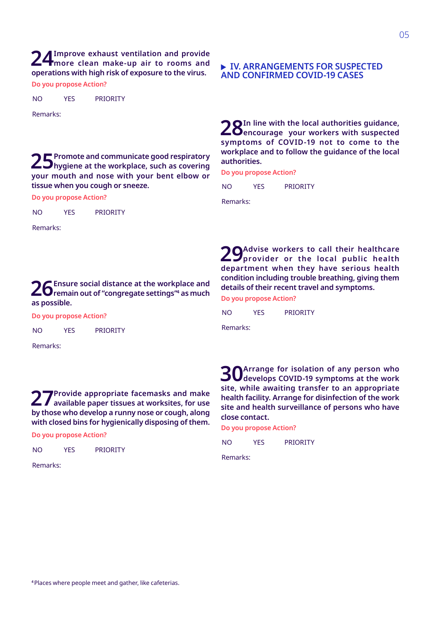**24 Improve exhaust ventilation and provide more clean make-up air to rooms and operations with high risk of exposure to the virus.**

**Do you propose Action?**

YES PRIORITY  $N<sub>O</sub>$ 

Remarks:

25 Promote and communicate good respiratory<br> **hygiene at the workplace, such as covering your mouth and nose with your bent elbow or tissue when you cough or sneeze.** 

**Do you propose Action?**

YES PRIORITY NO

Remarks:

### **26 Ensure social distance at the workplace and remain out of "congregate settings"4 as much as possible.**

**Do you propose Action?**

YES PRIORITY NO

Remarks:

**27 Provide appropriate facemasks and make available paper tissues at worksites, for use by those who develop a runny nose or cough, along with closed bins for hygienically disposing of them.** 

**Do you propose Action?**

YES PRIORITY NO

Remarks:

#### **IV. ARRANGEMENTS FOR SUSPECTED AND CONFIRMED COVID-19 CASES**

28In line with the local authorities guidance,<br> **encourage** your workers with suspected **symptoms of COVID-19 not to come to the workplace and to follow the guidance of the local authorities.** 

**Do you propose Action?**

YES PRIORITY NO

Remarks:

**Do you propose Action? 29 Advise workers to call their healthcare provider or the local public health department when they have serious health condition including trouble breathing, giving them details of their recent travel and symptoms.** 

YES PRIORITY NO

Remarks:

**30** Arrange for isolation of any person who<br>**develops COVID-19 symptoms at the work site, while awaiting transfer to an appropriate health facility. Arrange for disinfection of the work site and health surveillance of persons who have close contact.** 

**Do you propose Action?**

YES PRIORITY NO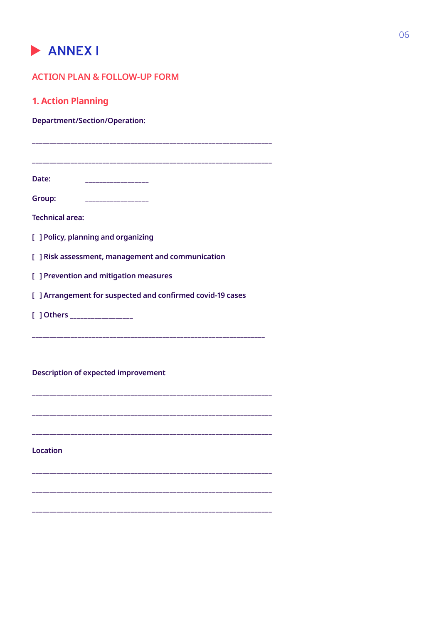## ANNEX I

| <b>ACTION PLAN &amp; FOLLOW-UP FORM</b>                    |
|------------------------------------------------------------|
| <b>1. Action Planning</b>                                  |
| <b>Department/Section/Operation:</b>                       |
|                                                            |
|                                                            |
| Date:<br>___________________                               |
| Group:                                                     |
| <b>Technical area:</b>                                     |
| [ ] Policy, planning and organizing                        |
| [ ] Risk assessment, management and communication          |
| [ ] Prevention and mitigation measures                     |
| [ ] Arrangement for suspected and confirmed covid-19 cases |
| [ ] Others __________________                              |
|                                                            |
|                                                            |
| <b>Description of expected improvement</b>                 |
|                                                            |
|                                                            |
|                                                            |

Location

 $\sim$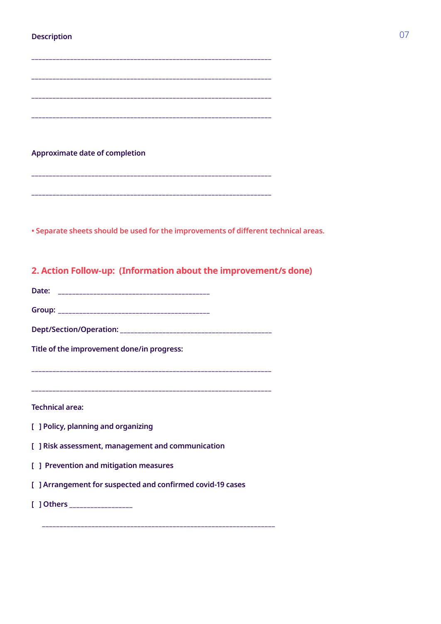### **Description** 07

| <b>Approximate date of completion</b>                                               |
|-------------------------------------------------------------------------------------|
|                                                                                     |
|                                                                                     |
|                                                                                     |
| . Separate sheets should be used for the improvements of different technical areas. |
|                                                                                     |
| 2. Action Follow-up: (Information about the improvement/s done)                     |
|                                                                                     |
|                                                                                     |
|                                                                                     |
| Title of the improvement done/in progress:                                          |
|                                                                                     |
|                                                                                     |
| <b>Technical area:</b>                                                              |
| [ ] Policy, planning and organizing                                                 |
| [ ] Risk assessment, management and communication                                   |
| [ ] Prevention and mitigation measures                                              |
| [ ] Arrangement for suspected and confirmed covid-19 cases                          |
| [ ] Others __________________                                                       |
|                                                                                     |

**\_\_\_\_\_\_\_\_\_\_\_\_\_\_\_\_\_\_\_\_\_\_\_\_\_\_\_\_\_\_\_\_\_\_\_\_\_\_\_\_\_\_\_\_\_\_\_\_\_\_\_\_\_\_\_\_\_\_\_\_\_\_\_\_\_\_\_\_**